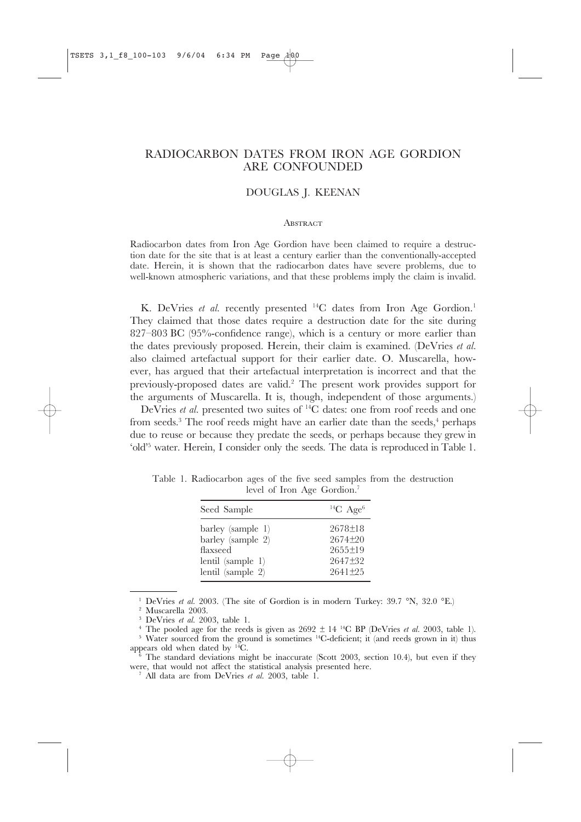# RADIOCARBON DATES FROM IRON AGE GORDION ARE CONFOUNDED

## DOUGLAS J. KEENAN

#### **ABSTRACT**

Radiocarbon dates from Iron Age Gordion have been claimed to require a destruction date for the site that is at least a century earlier than the conventionally-accepted date. Herein, it is shown that the radiocarbon dates have severe problems, due to well-known atmospheric variations, and that these problems imply the claim is invalid.

K. DeVries et al. recently presented <sup>14</sup>C dates from Iron Age Gordion.<sup>1</sup> They claimed that those dates require a destruction date for the site during 827–803 BC (95%-confidence range), which is a century or more earlier than the dates previously proposed. Herein, their claim is examined. (DeVries *et al.* also claimed artefactual support for their earlier date. O. Muscarella, however, has argued that their artefactual interpretation is incorrect and that the previously-proposed dates are valid.2 The present work provides support for the arguments of Muscarella. It is, though, independent of those arguments.)

DeVries *et al.* presented two suites of <sup>14</sup>C dates: one from roof reeds and one from seeds. $3$  The roof reeds might have an earlier date than the seeds, $4$  perhaps due to reuse or because they predate the seeds, or perhaps because they grew in 'old'5 water. Herein, I consider only the seeds. The data is reproduced in Table 1.

| Seed Sample                                                                                       | ${}^{14}C$ Age <sup>6</sup>                                                   |
|---------------------------------------------------------------------------------------------------|-------------------------------------------------------------------------------|
| barley (sample 1)<br>barley (sample 2)<br>flaxseed<br>lentil $(sample 1)$<br>lentil (sample $2$ ) | $2678 \pm 18$<br>$2674 + 20$<br>$2655 \pm 19$<br>$2647 \pm 32$<br>$2641 + 25$ |

Table 1. Radiocarbon ages of the five seed samples from the destruction level of Iron Age Gordion.7

<sup>1</sup> DeVries *et al.* 2003. (The site of Gordion is in modern Turkey: 39.7 °N, 32.0 °E.)

<sup>2</sup> Muscarella 2003.

<sup>3</sup> DeVries *et al.* 2003, table 1.

<sup>&</sup>lt;sup>4</sup> The pooled age for the reeds is given as  $2692 \pm 14$  <sup>14</sup>C BP (DeVries *et al.* 2003, table 1).

<sup>&</sup>lt;sup>5</sup> Water sourced from the ground is sometimes <sup>14</sup>C-deficient; it (and reeds grown in it) thus appears old when dated by  $14^{\circ}$ C.

<sup>&</sup>lt;sup>5</sup> The standard deviations might be inaccurate (Scott 2003, section 10.4), but even if they were, that would not affect the statistical analysis presented here.

<sup>7</sup> All data are from DeVries *et al.* 2003, table 1.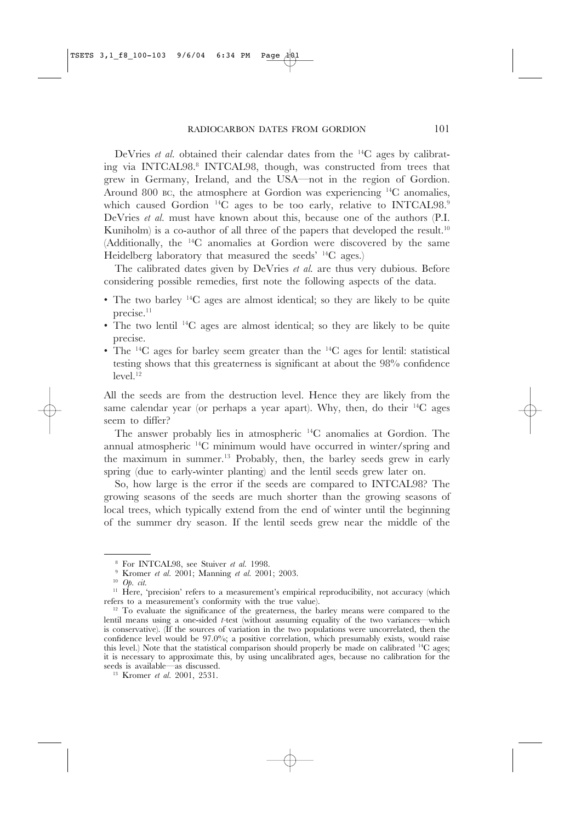DeVries *et al.* obtained their calendar dates from the 14C ages by calibrating via INTCAL98.<sup>8</sup> INTCAL98, though, was constructed from trees that grew in Germany, Ireland, and the USA—not in the region of Gordion. Around 800 BC, the atmosphere at Gordion was experiencing 14C anomalies, which caused Gordion<sup>14</sup>C ages to be too early, relative to INTCAL98.<sup>9</sup> DeVries *et al.* must have known about this, because one of the authors (P.I. Kuniholm) is a co-author of all three of the papers that developed the result.<sup>10</sup> (Additionally, the 14C anomalies at Gordion were discovered by the same Heidelberg laboratory that measured the seeds' 14C ages.)

The calibrated dates given by DeVries *et al.* are thus very dubious. Before considering possible remedies, first note the following aspects of the data.

- The two barley 14C ages are almost identical; so they are likely to be quite precise.<sup>11</sup>
- The two lentil 14C ages are almost identical; so they are likely to be quite precise.
- The  $^{14}C$  ages for barley seem greater than the  $^{14}C$  ages for lentil: statistical testing shows that this greaterness is significant at about the 98% confidence  $level.<sup>12</sup>$

All the seeds are from the destruction level. Hence they are likely from the same calendar year (or perhaps a year apart). Why, then, do their  $^{14}C$  ages seem to differ?

The answer probably lies in atmospheric 14C anomalies at Gordion. The annual atmospheric 14C minimum would have occurred in winter/spring and the maximum in summer.13 Probably, then, the barley seeds grew in early spring (due to early-winter planting) and the lentil seeds grew later on.

So, how large is the error if the seeds are compared to INTCAL98? The growing seasons of the seeds are much shorter than the growing seasons of local trees, which typically extend from the end of winter until the beginning of the summer dry season. If the lentil seeds grew near the middle of the

<sup>8</sup> For INTCAL98, see Stuiver *et al.* 1998.

<sup>9</sup> Kromer *et al.* 2001; Manning *et al.* 2001; 2003.

<sup>10</sup> *Op. cit*.

<sup>&</sup>lt;sup>11</sup> Here, 'precision' refers to a measurement's empirical reproducibility, not accuracy (which refers to a measurement's conformity with the true value).

<sup>&</sup>lt;sup>12</sup> To evaluate the significance of the greaterness, the barley means were compared to the lentil means using a one-sided *t*-test (without assuming equality of the two variances—which is conservative). (If the sources of variation in the two populations were uncorrelated, then the confidence level would be 97.0%; a positive correlation, which presumably exists, would raise this level.) Note that the statistical comparison should properly be made on calibrated  $^{14}C$  ages; it is necessary to approximate this, by using uncalibrated ages, because no calibration for the seeds is available—as discussed.

<sup>13</sup> Kromer *et al.* 2001, 2531.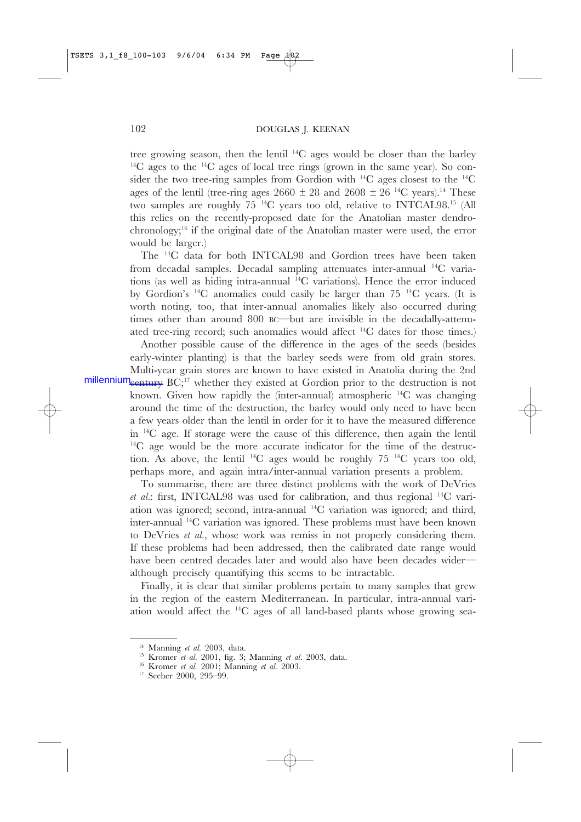tree growing season, then the lentil 14C ages would be closer than the barley  $14C$  ages to the  $14C$  ages of local tree rings (grown in the same year). So consider the two tree-ring samples from Gordion with 14C ages closest to the 14C ages of the lentil (tree-ring ages 2660  $\pm$  28 and 2608  $\pm$  26<sup>14</sup>C years).<sup>14</sup> These two samples are roughly 75 14C years too old, relative to INTCAL98.15 (All this relies on the recently-proposed date for the Anatolian master dendrochronology;16 if the original date of the Anatolian master were used, the error would be larger.)

The 14C data for both INTCAL98 and Gordion trees have been taken from decadal samples. Decadal sampling attenuates inter-annual 14C variations (as well as hiding intra-annual 14C variations). Hence the error induced by Gordion's  $^{14}C$  anomalies could easily be larger than 75  $^{14}C$  years. (It is worth noting, too, that inter-annual anomalies likely also occurred during times other than around 800 BC—but are invisible in the decadally-attenuated tree-ring record; such anomalies would affect  $^{14}C$  dates for those times.)

Another possible cause of the difference in the ages of the seeds (besides early-winter planting) is that the barley seeds were from old grain stores. Multi-year grain stores are known to have existed in Anatolia during the 2nd

millenniumcentury BC;<sup>17</sup> whether they existed at Gordion prior to the destruction is not known. Given how rapidly the (inter-annual) atmospheric 14C was changing around the time of the destruction, the barley would only need to have been a few years older than the lentil in order for it to have the measured difference in 14C age. If storage were the cause of this difference, then again the lentil <sup>14</sup>C age would be the more accurate indicator for the time of the destruction. As above, the lentil  $^{14}C$  ages would be roughly 75  $^{14}C$  years too old, perhaps more, and again intra/inter-annual variation presents a problem.

To summarise, there are three distinct problems with the work of DeVries *et al.*: first, INTCAL98 was used for calibration, and thus regional 14C variation was ignored; second, intra-annual 14C variation was ignored; and third, inter-annual 14C variation was ignored. These problems must have been known to DeVries *et al.*, whose work was remiss in not properly considering them. If these problems had been addressed, then the calibrated date range would have been centred decades later and would also have been decades wider although precisely quantifying this seems to be intractable.

Finally, it is clear that similar problems pertain to many samples that grew in the region of the eastern Mediterranean. In particular, intra-annual variation would affect the 14C ages of all land-based plants whose growing sea-

<sup>14</sup> Manning *et al.* 2003, data.

<sup>15</sup> Kromer *et al.* 2001, fig. 3; Manning *et al.* 2003, data.

<sup>16</sup> Kromer *et al.* 2001; Manning *et al.* 2003.

<sup>17</sup> Seeher 2000, 295–99.